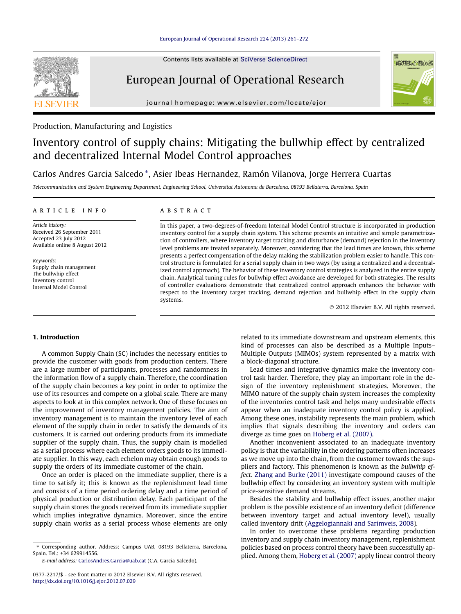

Contents lists available at [SciVerse ScienceDirect](http://www.sciencedirect.com/science/journal/03772217)

# European Journal of Operational Research

journal homepage: [www.elsevier.com/locate/ejor](http://www.elsevier.com/locate/ejor)



# Inventory control of supply chains: Mitigating the bullwhip effect by centralized and decentralized Internal Model Control approaches

Carlos Andres Garcia Salcedo \*, Asier Ibeas Hernandez, Ramón Vilanova, Jorge Herrera Cuartas

Telecommunication and System Engineering Department, Engineering School, Universitat Autonoma de Barcelona, 08193 Bellaterra, Barcelona, Spain

#### article info

Article history: Received 26 September 2011 Accepted 23 July 2012 Available online 8 August 2012

Keywords: Supply chain management The bullwhip effect Inventory control Internal Model Control

## ABSTRACT

In this paper, a two-degrees-of-freedom Internal Model Control structure is incorporated in production inventory control for a supply chain system. This scheme presents an intuitive and simple parametrization of controllers, where inventory target tracking and disturbance (demand) rejection in the inventory level problems are treated separately. Moreover, considering that the lead times are known, this scheme presents a perfect compensation of the delay making the stabilization problem easier to handle. This control structure is formulated for a serial supply chain in two ways (by using a centralized and a decentralized control approach). The behavior of these inventory control strategies is analyzed in the entire supply chain. Analytical tuning rules for bullwhip effect avoidance are developed for both strategies. The results of controller evaluations demonstrate that centralized control approach enhances the behavior with respect to the inventory target tracking, demand rejection and bullwhip effect in the supply chain systems.

- 2012 Elsevier B.V. All rights reserved.

UROPEAN JOURNAL O

### 1. Introduction

A common Supply Chain (SC) includes the necessary entities to provide the customer with goods from production centers. There are a large number of participants, processes and randomness in the information flow of a supply chain. Therefore, the coordination of the supply chain becomes a key point in order to optimize the use of its resources and compete on a global scale. There are many aspects to look at in this complex network. One of these focuses on the improvement of inventory management policies. The aim of inventory management is to maintain the inventory level of each element of the supply chain in order to satisfy the demands of its customers. It is carried out ordering products from its immediate supplier of the supply chain. Thus, the supply chain is modelled as a serial process where each element orders goods to its immediate supplier. In this way, each echelon may obtain enough goods to supply the orders of its immediate customer of the chain.

Once an order is placed on the immediate supplier, there is a time to satisfy it; this is known as the replenishment lead time and consists of a time period ordering delay and a time period of physical production or distribution delay. Each participant of the supply chain stores the goods received from its immediate supplier which implies integrative dynamics. Moreover, since the entire supply chain works as a serial process whose elements are only

related to its immediate downstream and upstream elements, this kind of processes can also be described as a Multiple Inputs– Multiple Outputs (MIMOs) system represented by a matrix with a block-diagonal structure.

Lead times and integrative dynamics make the inventory control task harder. Therefore, they play an important role in the design of the inventory replenishment strategies. Moreover, the MIMO nature of the supply chain system increases the complexity of the inventories control task and helps many undesirable effects appear when an inadequate inventory control policy is applied. Among these ones, instability represents the main problem, which implies that signals describing the inventory and orders can diverge as time goes on [Hoberg et al. \(2007\).](#page-11-0)

Another inconvenient associated to an inadequate inventory policy is that the variability in the ordering patterns often increases as we move up into the chain, from the customer towards the suppliers and factory. This phenomenon is known as the bullwhip effect. [Zhang and Burke \(2011\)](#page-11-0) investigate compound causes of the bullwhip effect by considering an inventory system with multiple price-sensitive demand streams.

Besides the stability and bullwhip effect issues, another major problem is the possible existence of an inventory deficit (difference between inventory target and actual inventory level), usually called inventory drift ([Aggelogiannaki and Sarimveis, 2008\)](#page-11-0).

In order to overcome these problems regarding production inventory and supply chain inventory management, replenishment policies based on process control theory have been successfully applied. Among them, [Hoberg et al. \(2007\)](#page-11-0) apply linear control theory

<sup>⇑</sup> Corresponding author. Address: Campus UAB, 08193 Bellaterra, Barcelona, Spain. Tel.: +34 629914556.

E-mail address: [CarlosAndres.Garcia@uab.cat](mailto:CarlosAndres.Garcia@uab.cat) (C.A. Garcia Salcedo).

<sup>0377-2217/\$ -</sup> see front matter © 2012 Elsevier B.V. All rights reserved. <http://dx.doi.org/10.1016/j.ejor.2012.07.029>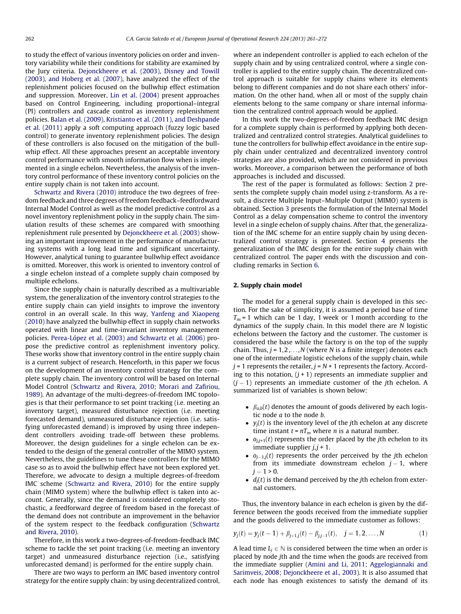<span id="page-1-0"></span>to study the effect of various inventory policies on order and inventory variability while their conditions for stability are examined by the Jury criteria. [Dejonckheere et al. \(2003\), Disney and Towill](#page-11-0) [\(2003\), and Hoberg et al. \(2007\)](#page-11-0), have analyzed the effect of the replenishment policies focused on the bullwhip effect estimation and suppression. Moreover, [Lin et al. \(2004\)](#page-11-0) present approaches based on Control Engineering, including proportional–integral (PI) controllers and cascade control as inventory replenishment policies. [Balan et al. \(2009\), Kristianto et al. \(2011\), and Deshpande](#page-11-0) [et al. \(2011\)](#page-11-0) apply a soft computing approach (fuzzy logic based control) to generate inventory replenishment policies. The design of these controllers is also focused on the mitigation of the bullwhip effect. All these approaches present an acceptable inventory control performance with smooth information flow when is implemented in a single echelon. Nevertheless, the analysis of the inventory control performance of these inventory control policies on the entire supply chain is not taken into account.

[Schwartz and Rivera \(2010\)](#page-11-0) introduce the two degrees of freedom feedback and three degrees of freedom feedback–feedfordward Internal Model Control as well as the model predictive control as a novel inventory replenishment policy in the supply chain. The simulation results of these schemes are compared with smoothing replenishment rule presented by [Dejonckheere et al. \(2003\)](#page-11-0) showing an important improvement in the performance of manufacturing systems with a long lead time and significant uncertainty. However, analytical tuning to guarantee bullwhip effect avoidance is omitted. Moreover, this work is oriented to inventory control of a single echelon instead of a complete supply chain composed by multiple echelons.

Since the supply chain is naturally described as a multivariable system, the generalization of the inventory control strategies to the entire supply chain can yield insights to improve the inventory control in an overall scale. In this way, [Yanfeng and Xiaopeng](#page-11-0) [\(2010\)](#page-11-0) have analyzed the bullwhip effect in supply chain networks operated with linear and time-invariant inventory management policies. [Perea-López et al. \(2003\) and Schwartz et al. \(2006\)](#page-11-0) propose the predictive control as replenishment inventory policy. These works show that inventory control in the entire supply chain is a current subject of research. Henceforth, in this paper we focus on the development of an inventory control strategy for the complete supply chain. The inventory control will be based on Internal Model Control ([Schwartz and Rivera, 2010; Morari and Zafiriou,](#page-11-0) [1989\)](#page-11-0). An advantage of the multi-degrees-of-freedom IMC topologies is that their performance to set point tracking (i.e. meeting an inventory target), measured disturbance rejection (i.e. meeting forecasted demand), unmeasured disturbance rejection (i.e. satisfying unforecasted demand) is improved by using three independent controllers avoiding trade-off between these problems. Moreover, the design guidelines for a single echelon can be extended to the design of the general controller of the MIMO system. Nevertheless, the guidelines to tune these controllers for the MIMO case so as to avoid the bullwhip effect have not been explored yet. Therefore, we advocate to design a multiple degrees-of-freedom IMC scheme ([Schwartz and Rivera, 2010\)](#page-11-0) for the entire supply chain (MIMO system) where the bullwhip effect is taken into account. Generally, since the demand is considered completely stochastic, a feedforward degree of freedom based in the forecast of the demand does not contribute an improvement in the behavior of the system respect to the feedback configuration ([Schwartz](#page-11-0) [and Rivera, 2010\)](#page-11-0).

Therefore, in this work a two-degrees-of-freedom-feedback IMC scheme to tackle the set point tracking (i.e. meeting an inventory target) and unmeasured disturbance rejection (i.e., satisfying unforecasted demand) is performed for the entire supply chain.

There are two ways to perform an IMC based inventory control strategy for the entire supply chain: by using decentralized control, where an independent controller is applied to each echelon of the supply chain and by using centralized control, where a single controller is applied to the entire supply chain. The decentralized control approach is suitable for supply chains where its elements belong to different companies and do not share each others' information. On the other hand, when all or most of the supply chain elements belong to the same company or share internal information the centralized control approach would be applied.

In this work the two-degrees-of-freedom feedback IMC design for a complete supply chain is performed by applying both decentralized and centralized control strategies. Analytical guidelines to tune the controllers for bullwhip effect avoidance in the entire supply chain under centralized and decentralized inventory control strategies are also provided, which are not considered in previous works. Moreover, a comparison between the performance of both approaches is included and discussed.

The rest of the paper is formulated as follows: Section 2 presents the complete supply chain model using z-transform. As a result, a discrete Multiple Input–Multiple Output (MIMO) system is obtained. Section [3](#page-3-0) presents the formulation of the Internal Model Control as a delay compensation scheme to control the inventory level in a single echelon of supply chains. After that, the generalization of the IMC scheme for an entire supply chain by using decentralized control strategy is presented. Section [4](#page-6-0) presents the generalization of the IMC design for the entire supply chain with centralized control. The paper ends with the discussion and concluding remarks in Section [6.](#page-10-0)

#### 2. Supply chain model

The model for a general supply chain is developed in this section. For the sake of simplicity, it is assumed a period base of time  $T_m$  = 1 which can be 1 day, 1 week or 1 month according to the dynamics of the supply chain. In this model there are N logistic echelons between the factory and the customer. The customer is considered the base while the factory is on the top of the supply chain. Thus,  $j = 1, 2, \ldots, N$  (where N is a finite integer) denotes each one of the intermediate logistic echelons of the supply chain, while  $j = 1$  represents the retailer,  $j = N + 1$  represents the factory. According to this notation,  $(j + 1)$  represents an immediate supplier and  $(j - 1)$  represents an immediate customer of the jth echelon. A summarized list of variables is shown below:

- $\phi$ ,  $\beta_{a,b}(t)$  denotes the amount of goods delivered by each logistic node a to the node b.
- $y_i(t)$  is the inventory level of the *j*th echelon at any discrete time instant  $t = nT_m$  where *n* is a natural number.
- $o_{i,i+1}(t)$  represents the order placed by the jth echelon to its immediate supplier  $j, j + 1$ .
- $o_{j-1,j}(t)$  represents the order perceived by the jth echelon from its immediate downstream echelon  $j-1$ , where  $j-1 \geq 0$ .
- $\bullet$   $d_i(t)$  is the demand perceived by the *j*th echelon from external customers.

Thus, the inventory balance in each echelon is given by the difference between the goods received from the immediate supplier and the goods delivered to the immediate customer as follows:

$$
y_j(t) = y_j(t-1) + \beta_{j+1,j}(t) - \beta_{j,j-1}(t), \quad j = 1, 2, ..., N
$$
 (1)

A lead time  $L_j \in \mathbb{N}$  is considered between the time when an order is placed by node jth and the time when the goods are received from the immediate supplier [\(Amini and Li, 2011; Aggelogiannaki and](#page-11-0) [Sarimveis, 2008; Dejonckheere et al., 2003](#page-11-0)). It is also assumed that each node has enough existences to satisfy the demand of its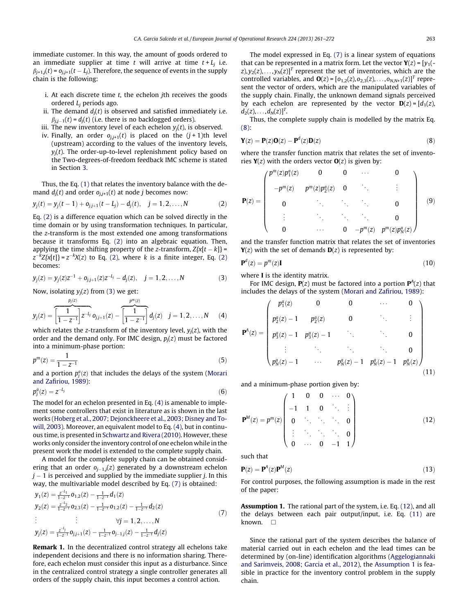<span id="page-2-0"></span>immediate customer. In this way, the amount of goods ordered to an immediate supplier at time t will arrive at time  $t + L<sub>i</sub>$  i.e.  $\beta_{j+1,j}(t)$  =  $o_{j,j+1}(t-L_j)$ . Therefore, the sequence of events in the supply chain is the following:

- i. At each discrete time  $t$ , the echelon  $j$ th receives the goods ordered  $L_i$  periods ago.
- ii. The demand  $d_i(t)$  is observed and satisfied immediately i.e.  $\beta_{j,j-1}(t)$  =  $d_j(t)$  (i.e. there is no backlogged orders).
- iii. The new inventory level of each echelon  $y_i(t)$ , is observed.
- iv. Finally, an order  $o_{i,i+1}(t)$  is placed on the  $(j + 1)$ th level (upstream) according to the values of the inventory levels,  $y_j(t)$ . The order-up-to-level replenishment policy based on the Two-degrees-of-freedom feedback IMC scheme is stated in Section [3](#page-3-0).

Thus, the Eq. [\(1\)](#page-1-0) that relates the inventory balance with the demand  $d_i(t)$  and order  $o_{i,i+1}(t)$  at node *j* becomes now:

$$
y_j(t) = y_j(t-1) + o_{j,j+1}(t-L_j) - d_j(t), \quad j = 1, 2, ..., N
$$
 (2)

Eq. (2) is a difference equation which can be solved directly in the time domain or by using transformation techniques. In particular, the z-transform is the most extended one among transformations because it transforms Eq. (2) into an algebraic equation. Then, applying the time shifting property of the z-transform, Z{x[t  $-$  k]} =  $z^{-k}Z{x[t]}$  =  $z^{-k}X(z)$  to Eq. (2), where k is a finite integer, Eq. (2) becomes:

$$
y_j(z) = y_j(z)z^{-1} + o_{j,j+1}(z)z^{-l_j} - d_j(z), \quad j = 1, 2, ..., N
$$
 (3)

Now, isolating  $y_j(z)$  from (3) we get:

$$
y_j(z) = \overbrace{\left[ \frac{1}{1 - z^{-1}} \right] }^{p_j(z)} z^{-L_j} o_{j,j+1}(z) - \overbrace{\left[ \frac{1}{1 - z^{-1}} \right] }^{p^m(z)} d_j(z) \quad j = 1, 2, ..., N \quad (4)
$$

which relates the z-transform of the inventory level,  $y_i(z)$ , with the order and the demand only. For IMC design,  $p_i(z)$  must be factored into a minimum-phase portion:

$$
p^{m}(z) = \frac{1}{1 - z^{-1}}\tag{5}
$$

and a portion  $p_j^a(z)$  that includes the delays of the system [\(Morari](#page-11-0) [and Zafiriou, 1989](#page-11-0)):

$$
p_j^a(z) = z^{-l_j} \tag{6}
$$

The model for an echelon presented in Eq. (4) is amenable to implement some controllers that exist in literature as is shown in the last works ([Hoberg et al., 2007; Dejonckheere et al., 2003; Disney and To](#page-11-0)[will, 2003\)](#page-11-0). Moreover, an equivalent model to Eq. (4), but in continuous time, is presented in [Schwartz and Rivera \(2010\)](#page-11-0). However, these works only consider the inventory control of one echelon while in the present work the model is extended to the complete supply chain.

A model for the complete supply chain can be obtained considering that an order  $o_{j-1,j}(z)$  generated by a downstream echelon  $j$  – 1 is perceived and supplied by the immediate supplier  $j$ . In this way, the multivariable model described by Eq. (7) is obtained:

$$
y_1(z) = \frac{z^{-l_1}}{1-z^{-1}} o_{1,2}(z) - \frac{1}{1-z^{-1}} d_1(z)
$$
  
\n
$$
y_2(z) = \frac{z^{-l_2}}{1-z^{-1}} o_{2,3}(z) - \frac{1}{1-z^{-1}} o_{1,2}(z) - \frac{1}{1-z^{-1}} d_2(z)
$$
  
\n
$$
\vdots \qquad \qquad \forall j = 1, 2, ..., N
$$
  
\n
$$
y_j(z) = \frac{z^{-l_j}}{1-z^{-1}} o_{j,j+1}(z) - \frac{1}{1-z^{-1}} o_{j-1,j}(z) - \frac{1}{1-z^{-1}} d_j(z)
$$
  
\n(7)

Remark 1. In the decentralized control strategy all echelons take independent decisions and there is no information sharing. Therefore, each echelon must consider this input as a disturbance. Since in the centralized control strategy a single controller generates all orders of the supply chain, this input becomes a control action.

The model expressed in Eq. (7) is a linear system of equations that can be represented in a matrix form. Let the vector  $Y(z) = [y_1($  $z, y_2(z), \ldots, y_N(z)$ <sup>T</sup> represent the set of inventories, which are the controlled variables, and  $\mathbf{O}(z) = [o_{1,2}(z), o_{2,3}(z), \ldots, o_{NN+1}(z)]^T$  represent the vector of orders, which are the manipulated variables of the supply chain. Finally, the unknown demand signals perceived by each echelon are represented by the vector  $\mathbf{D}(z) = [d_1(z),$  $d_2(z),..., d_N(z)]^T$ .

Thus, the complete supply chain is modelled by the matrix Eq. (8):

$$
\mathbf{Y}(z) = \mathbf{P}(z)\mathbf{O}(z) - \mathbf{P}^d(z)\mathbf{D}(z)
$$
\n(8)

where the transfer function matrix that relates the set of inventories  $Y(z)$  with the orders vector  $O(z)$  is given by:

$$
\mathbf{P}(z) = \begin{pmatrix} p^{m}(z)p_{1}^{a}(z) & 0 & 0 & \cdots & 0 \\ -p^{m}(z) & p^{m}(z)p_{2}^{a}(z) & 0 & \ddots & \vdots \\ 0 & \ddots & \ddots & \ddots & 0 \\ \vdots & \ddots & \ddots & \ddots & 0 \\ 0 & \cdots & 0 & -p^{m}(z) & p^{m}(z)p_{N}^{a}(z) \end{pmatrix}
$$
(9)

and the transfer function matrix that relates the set of inventories  $Y(z)$  with the set of demands  $D(z)$  is represented by:

$$
\mathbf{P}^d(z) = p^m(z)\mathbf{I} \tag{10}
$$

where **I** is the identity matrix.

For IMC design,  $P(z)$  must be factored into a portion  $P^{A}(z)$  that includes the delays of the system ([Morari and Zafiriou, 1989](#page-11-0)):

$$
\mathbf{P}^{A}(z) = \begin{pmatrix} p_{1}^{a}(z) & 0 & 0 & \cdots & 0 \\ p_{2}^{a}(z) - 1 & p_{2}^{a}(z) & 0 & \ddots & \vdots \\ p_{3}^{a}(z) - 1 & p_{3}^{a}(z) - 1 & \ddots & 0 \\ \vdots & \ddots & \ddots & \ddots & 0 \\ p_{N}^{a}(z) - 1 & \cdots & p_{N}^{a}(z) - 1 & p_{N}^{a}(z) - 1 & p_{N}^{a}(z) \end{pmatrix}
$$
\n(11)

and a minimum-phase portion given by:

$$
\mathbf{P}^{M}(z) = p^{m}(z) \begin{pmatrix} 1 & 0 & 0 & \cdots & 0 \\ -1 & 1 & 0 & \ddots & \vdots \\ 0 & \ddots & \ddots & \ddots & 0 \\ \vdots & \ddots & \ddots & \ddots & 0 \\ 0 & \cdots & 0 & -1 & 1 \end{pmatrix}
$$
(12)

such that

$$
\mathbf{P}(z) = \mathbf{P}^A(z)\mathbf{P}^M(z) \tag{13}
$$

For control purposes, the following assumption is made in the rest of the paper:

Assumption 1. The rational part of the system, i.e. Eq. (12), and all the delays between each pair output/input, i.e. Eq. (11) are known.  $\square$ 

Since the rational part of the system describes the balance of material carried out in each echelon and the lead times can be determined by (on-line) identification algorithms ([Aggelogiannaki](#page-11-0) [and Sarimveis, 2008; Garcia et al., 2012](#page-11-0)), the Assumption 1 is feasible in practice for the inventory control problem in the supply chain.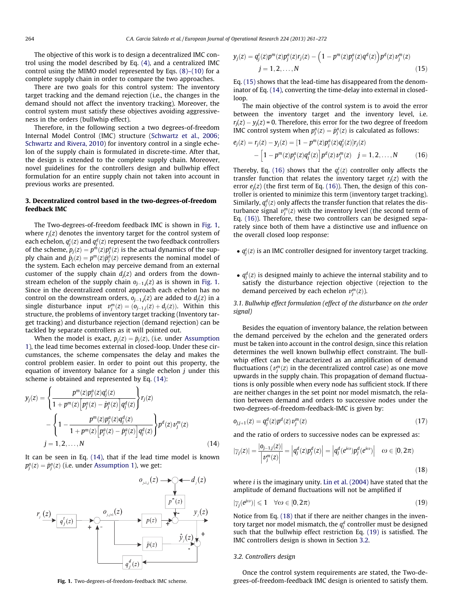<span id="page-3-0"></span>The objective of this work is to design a decentralized IMC control using the model described by Eq. [\(4\)](#page-2-0), and a centralized IMC control using the MIMO model represented by Eqs. [\(8\)–\(10\)](#page-2-0) for a complete supply chain in order to compare the two approaches.

There are two goals for this control system: The inventory target tracking and the demand rejection (i.e., the changes in the demand should not affect the inventory tracking). Moreover, the control system must satisfy these objectives avoiding aggressiveness in the orders (bullwhip effect).

Therefore, in the following section a two degrees-of-freedom Internal Model Control (IMC) structure ([Schwartz et al., 2006;](#page-11-0) [Schwartz and Rivera, 2010\)](#page-11-0) for inventory control in a single echelon of the supply chain is formulated in discrete-time. After that, the design is extended to the complete supply chain. Moreover, novel guidelines for the controllers design and bullwhip effect formulation for an entire supply chain not taken into account in previous works are presented.

## 3. Decentralized control based in the two-degrees-of-freedom feedback IMC

The Two-degrees-of-freedom feedback IMC is shown in Fig. 1, where  $r_i(z)$  denotes the inventory target for the control system of each echelon,  $q_j^t(z)$  and  $q_j^d(z)$  represent the two feedback controllers of the scheme,  $p_j(z) = p^{\dot m}(z) p^a_j(z)$  is the actual dynamics of the supply chain and  $\hat{p}_j(z) = p^m(z)\hat{p}^{\tilde{a}}_j(z)$  represents the nominal model of the system. Each echelon may perceive demand from an external customer of the supply chain  $d_i(z)$  and orders from the downstream echelon of the supply chain  $o_{j-1,j}(z)$  as is shown in Fig. 1. Since in the decentralized control approach each echelon has no control on the downstream orders,  $o_{j-1,j}(z)$  are added to  $d_j(z)$  in a single disturbance input  $v_j^m(z) = (o_{j-1,j}(z) + d_j(z))$ . Within this structure, the problems of inventory target tracking (Inventory target tracking) and disturbance rejection (demand rejection) can be tackled by separate controllers as it will pointed out.

When the model is exact,  $p_j(z) = \hat{p}_j(z)$ , (i.e. under [Assumption](#page-2-0) [1](#page-2-0)), the lead time becomes external in closed-loop. Under these circumstances, the scheme compensates the delay and makes the control problem easier. In order to point out this property, the equation of inventory balance for a single echelon j under this scheme is obtained and represented by Eq. (14):

$$
y_j(z) = \left\{ \frac{p^m(z)p_j^a(z)q_j^t(z)}{1 + p^m(z)\left[p_j^a(z) - \hat{p}_j^a(z)\right]q_j^d(z)} \right\} r_j(z)
$$
  
 
$$
- \left\{ 1 - \frac{p^m(z)p_j^a(z)q_j^d(z)}{1 + p^m(z)\left[p_j^a(z) - \hat{p}_j^a(z)\right]q_j^d(z)} \right\} p^d(z) v_j^m(z)
$$
  
\n
$$
j = 1, 2, ..., N
$$
 (14)

It can be seen in Eq. (14), that if the lead time model is known  $p_j^a(z) = \hat{p}_j^a(z)$  (i.e. under [Assumption 1\)](#page-2-0), we get:



$$
y_j(z) = q_j^t(z)p^m(z)p_j^a(z)r_j(z) - \left(1 - p^m(z)p_j^a(z)q^d(z)\right)p^d(z)v_j^m(z)
$$
  
 
$$
j = 1, 2, ..., N
$$
 (15)

Eq. (15) shows that the lead-time has disappeared from the denominator of Eq. (14), converting the time-delay into external in closedloop.

The main objective of the control system is to avoid the error between the inventory target and the inventory level, i.e.  $r_j(z) - y_j(z)$  = 0. Therefore, this error for the two degree of freedom IMC control system when  $p_j^a(z) = \hat{p}_j^a(z)$  is calculated as follows:

$$
e_j(z) = r_j(z) - y_j(z) = [1 - p^m(z)p_j^a(z)q_j^t(z)]r_j(z)
$$
  
 
$$
- [1 - p^m(z)p_j^a(z)q_j^d(z)]p^d(z)v_j^m(z) \quad j = 1, 2, ..., N
$$
 (16)

Thereby, Eq. (16) shows that the  $q_j^t(z)$  controller only affects the transfer function that relates the inventory target  $r_i(z)$  with the error  $e_i(z)$  (the first term of Eq. (16)). Then, the design of this controller is oriented to minimize this term (inventory target tracking). Similarly,  $q_j^d(z)$  only affects the transfer function that relates the disturbance signal  $v_j^m(z)$  with the inventory level (the second term of Eq. (16)). Therefore, these two controllers can be designed separately since both of them have a distinctive use and influence on the overall closed loop response:

- $q_j^t(z)$  is an IMC controller designed for inventory target tracking.
- $q_j^d(z)$  is designed mainly to achieve the internal stability and to satisfy the disturbance rejection objective (rejection to the demand perceived by each echelon  $v_j^m(z)$ ).

3.1. Bullwhip effect formulation (effect of the disturbance on the order signal)

Besides the equation of inventory balance, the relation between the demand perceived by the echelon and the generated orders must be taken into account in the control design, since this relation determines the well known bullwhip effect constraint. The bullwhip effect can be characterized as an amplification of demand fluctuations ( $v_j^m(z)$  in the decentralized control case) as one move upwards in the supply chain. This propagation of demand fluctuations is only possible when every node has sufficient stock. If there are neither changes in the set point nor model mismatch, the relation between demand and orders to successive nodes under the two-degrees-of-freedom-feedback-IMC is given by:

$$
o_{j,j+1}(z) = q_j^d(z) p^d(z) v_j^m(z)
$$
\n(17)

and the ratio of orders to successive nodes can be expressed as:

$$
|\gamma_j(z)| = \frac{|o_{j-1,j}(z)|}{|v_j^m(z)|} = |q_j^d(z)p_j^d(z)| = |q_j^d(e^{i\omega})p_j^d(e^{i\omega})| \quad \omega \in [0, 2\pi)
$$
\n(18)

where  $i$  is the imaginary unity. [Lin et al. \(2004\)](#page-11-0) have stated that the amplitude of demand fluctuations will not be amplified if

$$
|\gamma_j(e^{j\omega})| \leq 1 \quad \forall \omega \in [0, 2\pi)
$$
\n<sup>(19)</sup>

Notice from Eq. (18) that if there are neither changes in the inventory target nor model mismatch, the  $q_j^d$  controller must be designed such that the bullwhip effect restriction Eq. (19) is satisfied. The IMC controllers design is shown in Section 3.2.

#### 3.2. Controllers design

Once the control system requirements are stated, the Two-de-Fig. 1. Two-degrees-of-freedom-feedback IMC scheme. grees-of-freedom-feedback IMC design is oriented to satisfy them.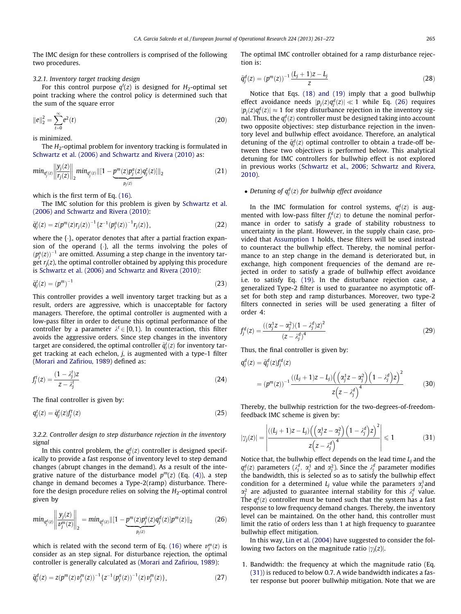<span id="page-4-0"></span>The IMC design for these controllers is comprised of the following two procedures.

#### 3.2.1. Inventory target tracking design

For this control purpose  $q^t(z)$  is designed for  $H_2$ -optimal set point tracking where the control policy is determined such that the sum of the square error

$$
||e||_2^2 = \sum_{t=0}^{\infty} e^2(t)
$$
 (20)

is minimized.

The  $H_2$ -optimal problem for inventory tracking is formulated in [Schwartz et al. \(2006\) and Schwartz and Rivera \(2010\)](#page-11-0) as:

$$
min_{q_j^t(z)} \left\| \frac{y_j(z)}{r_j(z)} \right\|_2 min_{q_j^t(z)} \left\| [1 - \underbrace{p^m(z)p_j^a(z)}_{p_j(z)} q_j^t(z)] \right\|_2
$$
\n(21)

which is the first term of Eq. [\(16\).](#page-3-0)

The IMC solution for this problem is given by [Schwartz et al.](#page-11-0) [\(2006\) and Schwartz and Rivera \(2010\)](#page-11-0):

$$
\tilde{q}_j^t(z) = z(p^m(z)r_j(z))^{-1} \{z^{-1}(p_j^a(z))^{-1}r_j(z)\}_* \tag{22}
$$

where the  $\{\cdot\}_*$  operator denotes that after a partial fraction expansion of the operand  $\{\cdot\}$ , all the terms involving the poles of  $\left(p^a_j(z)\right)^{-1}$  are omitted. Assuming a step change in the inventory target  $r_i(z)$ , the optimal controller obtained by applying this procedure is [Schwartz et al. \(2006\) and Schwartz and Rivera \(2010\)](#page-11-0):

$$
\tilde{q}_j^t(z) = (p^m)^{-1} \tag{23}
$$

This controller provides a well inventory target tracking but as a result, orders are aggressive, which is unacceptable for factory managers. Therefore, the optimal controller is augmented with a low-pass filter in order to detune this optimal performance of the controller by a parameter  $\lambda^t \in [0,1)$ . In counteraction, this filter avoids the aggressive orders. Since step changes in the inventory target are considered, the optimal controller  $\tilde{q}_j^t(z)$  for inventory target tracking at each echelon, j, is augmented with a type-1 filter ([Morari and Zafiriou, 1989](#page-11-0)) defined as:

$$
f_j^t(z) = \frac{(1 - \lambda_j^t)z}{z - \lambda_j^t}
$$
 (24)

The final controller is given by:

$$
q_j^t(z) = \tilde{q}_j^t(z) f_j^t(z) \tag{25}
$$

3.2.2. Controller design to step disturbance rejection in the inventory signal

In this control problem, the  $q_j^d(z)$  controller is designed specifically to provide a fast response of inventory level to step demand changes (abrupt changes in the demand). As a result of the integrative nature of the disturbance model  $p^{m}(z)$  (Eq. [\(4\)](#page-2-0)), a step change in demand becomes a Type-2(ramp) disturbance. Therefore the design procedure relies on solving the  $H_2$ -optimal control given by

$$
min_{q_j^d(z)} \left\| \frac{y_j(z)}{v_j^m(z)} \right\|_2 = min_{q_j^d(z)} ||[1 - \underbrace{p^m(z)p_j^a(z)}_{p_j(z)} q_j^d(z)] p^m(z)||_2
$$
\n(26)

which is related with the second term of Eq. [\(16\)](#page-3-0) where  $v_j^m(z)$  is consider as an step signal. For disturbance rejection, the optimal controller is generally calculated as [\(Morari and Zafiriou, 1989\)](#page-11-0):

$$
\tilde{q}_j^d(z) = z(p^m(z)\,\nu_j^m(z))^{-1} \{z^{-1}(p_j^a(z))^{-1}(z)\,\nu_j^m(z)\}_* \tag{27}
$$

The optimal IMC controller obtained for a ramp disturbance rejection is:

$$
\tilde{q}_j^d(z) = (p^m(z))^{-1} \frac{(L_j + 1)z - L_j}{z} \tag{28}
$$

Notice that Eqs. [\(18\) and \(19\)](#page-3-0) imply that a good bullwhip effect avoidance needs  $|p_j(z)q_j^d(z)|\ll 1$  while Eq. (26) requires  $|p_j(z)q_j^d(z)| \approx 1$  for step disturbance rejection in the inventory signal. Thus, the  $q_j^d(z)$  controller must be designed taking into account two opposite objectives: step disturbance rejection in the inventory level and bullwhip effect avoidance. Therefore, an analytical detuning of the  $\tilde{q}^d_j(z)$  optimal controller to obtain a trade-off between these two objectives is performed below. This analytical detuning for IMC controllers for bullwhip effect is not explored in previous works ([Schwartz et al., 2006; Schwartz and Rivera,](#page-11-0) [2010](#page-11-0)).

# • Detuning of  $q_j^d(z)$  for bullwhip effect avoidance

In the IMC formulation for control systems,  $q_j^d(z)$  is augmented with low-pass filter  $f_j^d(z)$  to detune the nominal performance in order to satisfy a grade of stability robustness to uncertainty in the plant. However, in the supply chain case, provided that [Assumption 1](#page-2-0) holds, these filters will be used instead to counteract the bullwhip effect. Thereby, the nominal performance to an step change in the demand is deteriorated but, in exchange, high component frequencies of the demand are rejected in order to satisfy a grade of bullwhip effect avoidance i.e. to satisfy Eq. [\(19\)](#page-3-0). In the disturbance rejection case, a generalized Type-2 filter is used to guarantee no asymptotic offset for both step and ramp disturbances. Moreover, two type-2 filters connected in series will be used generating a filter of order 4:

$$
f_j^d(z) = \frac{((\alpha_j^1 z - \alpha_j^2)(1 - \lambda_j^d)z)^2}{(z - \lambda_j^d)^4}
$$
\n(29)

Thus, the final controller is given by:

$$
q_j^d(z) = \tilde{q}_j^d(z) f_j^d(z)
$$
  
=  $(p^m(z))^{-1} \frac{((L_j + 1)z - L_j) \left( \left( \alpha_j^1 z - \alpha_j^2 \right) \left( 1 - \lambda_j^d \right) z \right)^2}{z \left( z - \lambda_j^d \right)^4}$  (30)

Thereby, the bullwhip restriction for the two-degrees-of-freedomfeedback IMC scheme is given by:

$$
|\gamma_j(z)| = \left| \frac{((L_j+1)z - L_j) \left( \left( \alpha_j^1 z - \alpha_j^2 \right) \left( 1 - \lambda_j^d \right) z \right)^2}{z \left( z - \lambda_j^d \right)^4} \right| \leq 1 \tag{31}
$$

Notice that, the bullwhip effect depends on the lead time  $L_j$  and the  $q_j^d(z)$  parameters  $(\lambda_j^d, \alpha_j^1)$  and  $\alpha_j^2$ ). Since the  $\lambda_j^d$  parameter modifies the bandwidth, this is selected so as to satisfy the bullwhip effect condition for a determined  $L_j$  value while the parameters  $\alpha_j^1$  and  $\alpha_j^2$  are adjusted to guarantee internal stability for this  $\lambda_j^d$  value. The  $q_j^d(z)$  controller must be tuned such that the system has a fast response to low frequency demand changes. Thereby, the inventory level can be maintained. On the other hand, this controller must limit the ratio of orders less than 1 at high frequency to guarantee bullwhip effect mitigation.

In this way, [Lin et al. \(2004\)](#page-11-0) have suggested to consider the following two factors on the magnitude ratio  $|\gamma_i(z)|$ .

1. Bandwidth: the frequency at which the magnitude ratio (Eq. (31)) is reduced to below 0.7. A wide bandwidth indicates a faster response but poorer bullwhip mitigation. Note that we are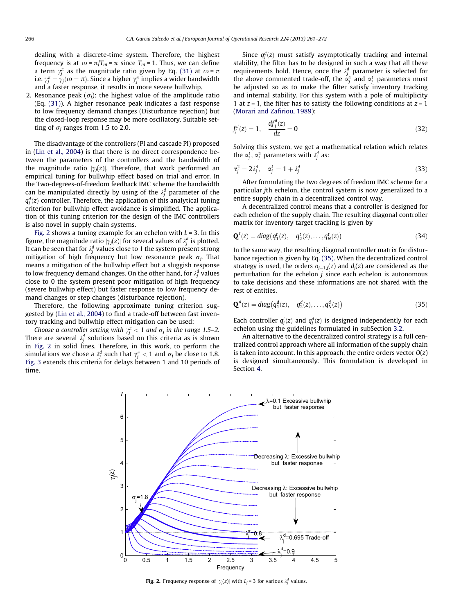dealing with a discrete-time system. Therefore, the highest frequency is at  $\omega = \pi/T_m = \pi$  since  $T_m = 1$ . Thus, we can define a term  $\gamma_j^{\pi}$  as the magnitude ratio given by Eq. [\(31\)](#page-4-0) at  $\omega = \pi$ i.e.  $\gamma_j^\pi = \gamma_j(\omega=\pi)$ . Since a higher  $\gamma_j^\pi$  implies a wider bandwidth and a faster response, it results in more severe bullwhip.

2. Resonance peak  $(\sigma_i)$ : the highest value of the amplitude ratio (Eq. [\(31\)](#page-4-0)). A higher resonance peak indicates a fast response to low frequency demand changes (Disturbance rejection) but the closed-loop response may be more oscillatory. Suitable setting of  $\sigma_i$  ranges from 1.5 to 2.0.

The disadvantage of the controllers (PI and cascade PI) proposed in [\(Lin et al., 2004](#page-11-0)) is that there is no direct correspondence between the parameters of the controllers and the bandwidth of the magnitude ratio  $|\gamma_i(z)|$ . Therefore, that work performed an empirical tuning for bullwhip effect based on trial and error. In the Two-degrees-of-freedom feedback IMC scheme the bandwidth can be manipulated directly by using of the  $\lambda_j^d$  parameter of the  $q_j^d(z)$  controller. Therefore, the application of this analytical tuning criterion for bullwhip effect avoidance is simplified. The application of this tuning criterion for the design of the IMC controllers is also novel in supply chain systems.

Fig. 2 shows a tuning example for an echelon with  $L = 3$ . In this figure, the magnitude ratio  $|\gamma_j(z)|$  for several values of  $\lambda_j^d$  is plotted. It can be seen that for  $\lambda_j^d$  values close to 1 the system present strong mitigation of high frequency but low resonance peak  $\sigma_i$ . That means a mitigation of the bullwhip effect but a sluggish response to low frequency demand changes. On the other hand, for  $\lambda_j^d$  values close to 0 the system present poor mitigation of high frequency (severe bullwhip effect) but faster response to low frequency demand changes or step changes (disturbance rejection).

Therefore, the following approximate tuning criterion suggested by ([Lin et al., 2004](#page-11-0)) to find a trade-off between fast inventory tracking and bullwhip effect mitigation can be used:

Choose a controller setting with  $\gamma_j^{\pi} < 1$  and  $\sigma_j$  in the range 1.5–2. There are several  $\lambda_j^d$  solutions based on this criteria as is shown in Fig. 2 in solid lines. Therefore, in this work, to perform the simulations we chose a  $\lambda_j^d$  such that  $\gamma_j^\pi < 1$  and  $\sigma_j$  be close to 1.8. [Fig. 3](#page-6-0) extends this criteria for delays between 1 and 10 periods of time.

Since  $q_j^d(z)$  must satisfy asymptotically tracking and internal stability, the filter has to be designed in such a way that all these requirements hold. Hence, once the  $\lambda_j^d$  parameter is selected for the above commented trade-off, the  $\alpha_j^1$  and  $\alpha_j^1$  parameters must be adjusted so as to make the filter satisfy inventory tracking and internal stability. For this system with a pole of multiplicity 1 at  $z = 1$ , the filter has to satisfy the following conditions at  $z = 1$ ([Morari and Zafiriou, 1989\)](#page-11-0):

$$
f_j^d(z) = 1, \quad \frac{df_j^d(z)}{dz} = 0
$$
\n(32)

Solving this system, we get a mathematical relation which relates the  $\alpha_j^1$ ,  $\alpha_j^2$  parameters with  $\lambda_j^d$  as:

$$
\alpha_j^2 = 2\lambda_j^d, \quad \alpha_j^1 = 1 + \lambda_j^d \tag{33}
$$

After formulating the two degrees of freedom IMC scheme for a particular jth echelon, the control system is now generalized to a entire supply chain in a decentralized control way.

A decentralized control means that a controller is designed for each echelon of the supply chain. The resulting diagonal controller matrix for inventory target tracking is given by

$$
\mathbf{Q}^{t}(z) = diag(q_1^{t}(z), \quad q_2^{t}(z), \dots, q_N^{t}(z))
$$
\n(34)

In the same way, the resulting diagonal controller matrix for disturbance rejection is given by Eq. (35). When the decentralized control strategy is used, the orders  $o_{j-1,j}(z)$  and  $d_j(z)$  are considered as the perturbation for the echelon  $j$  since each echelon is autonomous to take decisions and these informations are not shared with the rest of entities.

$$
\mathbf{Q}^d(z) = \text{diag}(q_1^d(z), \quad q_2^d(z), \dots, q_N^d(z))
$$
\n(35)

Each controller  $q_j^t(z)$  and  $q_j^d(z)$  is designed independently for each echelon using the guidelines formulated in subSection [3.2](#page-3-0).

An alternative to the decentralized control strategy is a full centralized control approach where all information of the supply chain is taken into account. In this approach, the entire orders vector  $O(z)$ is designed simultaneously. This formulation is developed in Section [4.](#page-6-0)



**Fig. 2.** Frequency response of  $|\gamma_j(z)|$  with  $L_j = 3$  for various  $\lambda_j^d$  values.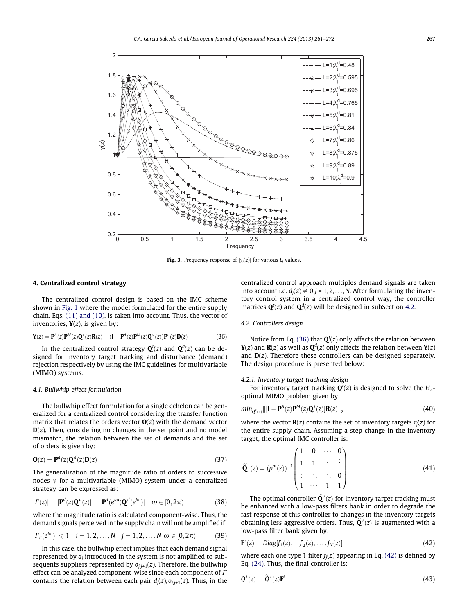<span id="page-6-0"></span>

Fig. 3. Frequency response of  $|\gamma_i(z)|$  for various  $L_i$  values.

### 4. Centralized control strategy

The centralized control design is based on the IMC scheme shown in [Fig. 1](#page-3-0) where the model formulated for the entire supply chain, Eqs. [\(11\) and \(10\),](#page-2-0) is taken into account. Thus, the vector of inventories,  $Y(z)$ , is given by:

$$
\mathbf{Y}(z) = \mathbf{P}^{\mathcal{A}}(z)\mathbf{P}^{\mathcal{M}}(z)\mathbf{Q}^{\mathcal{t}}(z)\mathbf{R}(z) - (\mathbf{I} - \mathbf{P}^{\mathcal{A}}(z)\mathbf{P}^{\mathcal{M}}(z)\mathbf{Q}^{\mathcal{d}}(z))\mathbf{P}^{\mathcal{d}}(z)\mathbf{D}(z)
$$
(36)

In the centralized control strategy  $\mathbf{Q}^t\!\left(z\right)$  and  $\mathbf{Q}^d\!\left(z\right)$  can be designed for inventory target tracking and disturbance (demand) rejection respectively by using the IMC guidelines for multivariable (MIMO) systems.

#### 4.1. Bullwhip effect formulation

The bullwhip effect formulation for a single echelon can be generalized for a centralized control considering the transfer function matrix that relates the orders vector  $O(z)$  with the demand vector  $D(z)$ . Then, considering no changes in the set point and no model mismatch, the relation between the set of demands and the set of orders is given by:

$$
\mathbf{O}(z) = \mathbf{P}^d(z)\mathbf{Q}^d(z)\mathbf{D}(z)
$$
\n(37)

The generalization of the magnitude ratio of orders to successive nodes  $\gamma$  for a multivariable (MIMO) system under a centralized strategy can be expressed as:

$$
|\Gamma(z)| = |\mathbf{P}^d(z)\mathbf{Q}^d(z)| = |\mathbf{P}^d(e^{i\omega})\mathbf{Q}^d(e^{i\omega})| \quad \omega \in [0, 2\pi)
$$
 (38)

where the magnitude ratio is calculated component-wise. Thus, the demand signals perceived in the supply chain will not be amplified if:

$$
|\Gamma_{ij}(e^{i\omega})| \leq 1 \quad i = 1, 2, ..., N \quad j = 1, 2, ..., N \omega \in [0, 2\pi)
$$
 (39)

In this case, the bullwhip effect implies that each demand signal represented by  $d_i$  introduced in the system is not amplified to subsequents suppliers represented by  $o_{j,j+1}(z)$ . Therefore, the bullwhip effect can be analyzed component-wise since each component of  $\Gamma$ contains the relation between each pair  $d_i(z)$ ,  $o_{i,i+1}(z)$ . Thus, in the centralized control approach multiples demand signals are taken into account i.e.  $d_i(z) \neq 0$  j = 1,2, ..., N. After formulating the inventory control system in a centralized control way, the controller matrices  $\mathbf{Q}^{t}(z)$  and  $\mathbf{Q}^{d}(z)$  will be designed in subSection 4.2.

## 4.2. Controllers design

Notice from Eq. (36) that  $\mathbf{Q}^t(z)$  only affects the relation between **Y**(z) and **R**(z) as well as  $\mathbf{Q}^d$ (z) only affects the relation between **Y**(z) and  $D(z)$ . Therefore these controllers can be designed separately. The design procedure is presented below:

#### 4.2.1. Inventory target tracking design

For inventory target tracking  $\mathbf{Q}^t(z)$  is designed to solve the  $H_2$ optimal MIMO problem given by

$$
min_{Q^t(z)}\left\lVert[\mathbf{I}-\mathbf{P}^A(z)\mathbf{P}^M(z)\mathbf{Q}^t(z)]\mathbf{R}(z)\right\rVert_2\tag{40}
$$

where the vector  $\mathbf{R}(z)$  contains the set of inventory targets  $r_i(z)$  for the entire supply chain. Assuming a step change in the inventory target, the optimal IMC controller is:

$$
\widetilde{\mathbf{Q}}^{t}(z) = (p^{m}(z))^{-1} \begin{pmatrix} 1 & 0 & \cdots & 0 \\ 1 & 1 & \ddots & \vdots \\ \vdots & \ddots & \ddots & 0 \\ 1 & \cdots & 1 & 1 \end{pmatrix}
$$
 (41)

The optimal controller  $\mathbf{Q}^t(z)$  for inventory target tracking must be enhanced with a low-pass filters bank in order to degrade the fast response of this controller to changes in the inventory targets obtaining less aggressive orders. Thus,  $\mathbf{Q}^t(z)$  is augmented with a low-pass filter bank given by:

$$
\mathbf{F}^{t}(z) = Diag[f_{1}(z), f_{2}(z),...,f_{N}(z)]
$$
\n(42)

where each one type 1 filter  $f_i(z)$  appearing in Eq. (42) is defined by Eq. [\(24\).](#page-4-0) Thus, the final controller is:

$$
Q^{t}(z) = \widetilde{Q}^{t}(z)\mathbf{F}^{t}
$$
\n(43)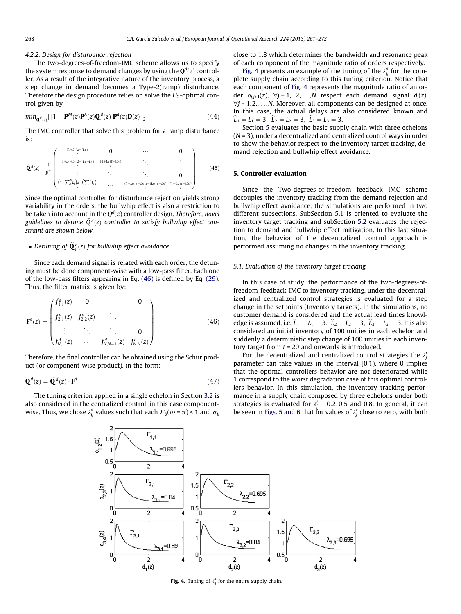#### <span id="page-7-0"></span>4.2.2. Design for disturbance rejection

The two-degrees-of-freedom-IMC scheme allows us to specify the system response to demand changes by using the  $\mathbf{Q}^d(z)$  controller. As a result of the integrative nature of the inventory process, a step change in demand becomes a Type-2(ramp) disturbance. Therefore the design procedure relies on solve the  $H_2$ -optimal control given by

$$
min_{\mathbf{Q}^d(z)}\left\| [1 - \mathbf{P}^M(z)\mathbf{P}^A(z)\mathbf{Q}^d(z)]\mathbf{P}^d(z)\mathbf{D}(z) \right\|_2 \tag{44}
$$

The IMC controller that solve this problem for a ramp disturbance is:

$$
\widetilde{\mathbf{Q}}^{d}(z) = \frac{1}{p^{m}} \begin{pmatrix}\n\frac{(1 + L_{1})z - (L_{1})}{z} & 0 & \cdots & 0 \\
\frac{(1 + L_{1} + L_{2})z - (L_{1} + L_{2})}{z} & \frac{(1 + L_{2})z - (L_{2})}{z} & \ddots & \vdots \\
\vdots & \ddots & \ddots & 0 \\
\frac{(1 + \sum_{1}^{N} L_{j})z - (\sum_{1}^{N} L_{j})}{z} & \cdots & \frac{(1 + L_{N-1} + L_{N})z - (L_{N-1} + L_{N})}{z} & \frac{(1 + L_{N})z - (L_{N})}{z}\n\end{pmatrix}
$$
\n(45)

Since the optimal controller for disturbance rejection yields strong variability in the orders, the bullwhip effect is also a restriction to be taken into account in the  $Q^d(z)$  controller design. *Therefore, novel* guidelines to detune  $\widetilde{Q}^d(z)$  controller to satisfy bullwhip effect constraint are shown below.

# $\bullet$  Detuning of  $\mathbf{Q}_j^d(z)$  for bullwhip effect avoidance

Since each demand signal is related with each order, the detuning must be done component-wise with a low-pass filter. Each one of the low-pass filters appearing in Eq. (46) is defined by Eq. [\(29\).](#page-4-0) Thus, the filter matrix is given by:

$$
\mathbf{F}^{d}(z) = \begin{pmatrix} f_{1,1}^{d}(z) & 0 & \cdots & 0 \\ f_{2,1}^{d}(z) & f_{2,2}^{d}(z) & \ddots & \vdots \\ \vdots & \ddots & \ddots & 0 \\ f_{N,1}^{d}(z) & \cdots & f_{N,N-1}^{d}(z) & f_{N,N}^{d}(z) \end{pmatrix}
$$
(46)

Therefore, the final controller can be obtained using the Schur product (or component-wise product), in the form:

$$
\mathbf{Q}^d(z) = \widetilde{\mathbf{Q}}^d(z) \cdot \mathbf{F}^d \tag{47}
$$

The tuning criterion applied in a single echelon in Section [3.2](#page-3-0) is also considered in the centralized control, in this case componentwise. Thus, we chose  $\lambda_{ij}^d$  values such that each  $\varGamma_{ij}(\omega$  =  $\pi)$  < 1 and  $\sigma_{ij}$ 

close to 1.8 which determines the bandwidth and resonance peak of each component of the magnitude ratio of orders respectively.

Fig. 4 presents an example of the tuning of the  $\lambda_{ij}^d$  for the complete supply chain according to this tuning criterion. Notice that each component of Fig. 4 represents the magnitude ratio of an order  $o_{i,i+1}(z)$ ,  $\forall j = 1, 2,...,N$  respect each demand signal  $d_i(z)$ ,  $\forall j = 1, 2, \ldots, N$ . Moreover, all components can be designed at once. In this case, the actual delays are also considered known and  $\widehat{L}_1 = L_1 = 3, \ \widehat{L}_2 = L_2 = 3, \ \widehat{L}_3 = L_3 = 3.$ 

Section 5 evaluates the basic supply chain with three echelons  $(N = 3)$ , under a decentralized and centralized control ways in order to show the behavior respect to the inventory target tracking, demand rejection and bullwhip effect avoidance.

### 5. Controller evaluation

Since the Two-degrees-of-freedom feedback IMC scheme decouples the inventory tracking from the demand rejection and bullwhip effect avoidance, the simulations are performed in two different subsections. SubSection 5.1 is oriented to evaluate the inventory target tracking and subSection [5.2](#page-9-0) evaluates the rejection to demand and bullwhip effect mitigation. In this last situation, the behavior of the decentralized control approach is performed assuming no changes in the inventory tracking.

#### 5.1. Evaluation of the inventory target tracking

In this case of study, the performance of the two-degrees-offreedom-feedback-IMC to inventory tracking, under the decentralized and centralized control strategies is evaluated for a step change in the setpoints (Inventory targets). In the simulations, no customer demand is considered and the actual lead times knowledge is assumed, i.e.  $\widehat{L}_1 = L_1 = 3$ ,  $\widehat{L}_2 = L_2 = 3$ ,  $\widehat{L}_3 = L_3 = 3$ . It is also considered an initial inventory of 100 unities in each echelon and suddenly a deterministic step change of 100 unities in each inventory target from  $t = 20$  and onwards is introduced.

For the decentralized and centralized control strategies the  $\lambda_j^{\dagger}$ parameter can take values in the interval [0,1), where 0 implies that the optimal controllers behavior are not deteriorated while 1 correspond to the worst degradation case of this optimal controllers behavior. In this simulation, the inventory tracking performance in a supply chain composed by three echelons under both strategies is evaluated for  $\lambda_j^t = 0.2, 0.5$  and 0.8. In general, it can be seen in [Figs. 5 and 6](#page-8-0) that for values of  $\lambda_j^t$  close to zero, with both



**Fig. 4.** Tuning of  $\lambda_{ij}^d$  for the entire supply chain.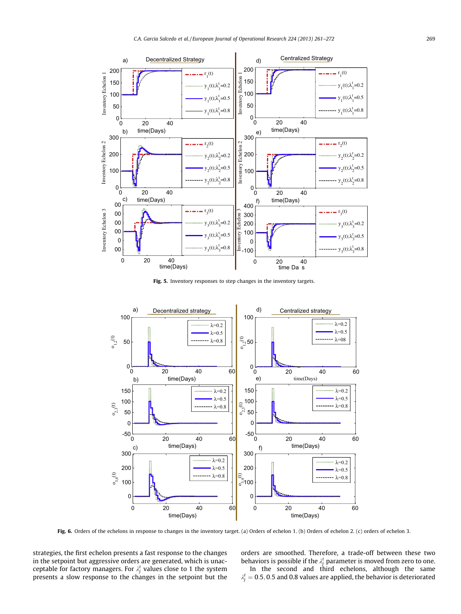<span id="page-8-0"></span>

Fig. 5. Inventory responses to step changes in the inventory targets.



Fig. 6. Orders of the echelons in response to changes in the inventory target. (a) Orders of echelon 1. (b) Orders of echelon 2. (c) orders of echelon 3.

strategies, the first echelon presents a fast response to the changes in the setpoint but aggressive orders are generated, which is unacceptable for factory managers. For  $\lambda_j^t$  values close to 1 the system presents a slow response to the changes in the setpoint but the orders are smoothed. Therefore, a trade-off between these two behaviors is possible if the  $\lambda_j^t$  parameter is moved from zero to one. In the second and third echelons, although the same  $\lambda_j^t = 0.5, 0.5$  and 0.8 values are applied, the behavior is deteriorated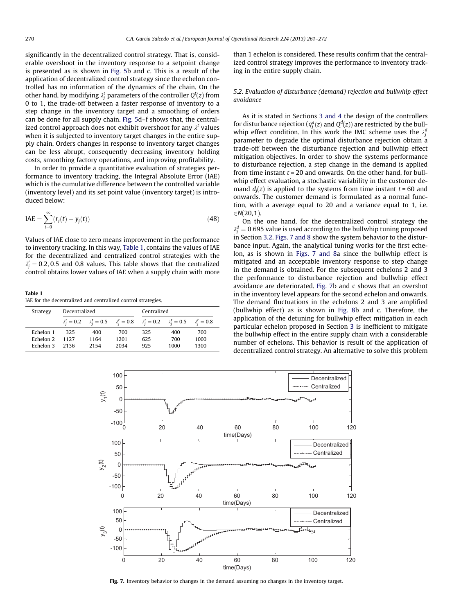<span id="page-9-0"></span>significantly in the decentralized control strategy. That is, considerable overshoot in the inventory response to a setpoint change is presented as is shown in [Fig. 5](#page-8-0)b and c. This is a result of the application of decentralized control strategy since the echelon controlled has no information of the dynamics of the chain. On the other hand, by modifying  $\lambda_j^t$  parameters of the controller  $\mathrm{Q}^t\!(z)$  from 0 to 1, the trade-off between a faster response of inventory to a step change in the inventory target and a smoothing of orders can be done for all supply chain. [Fig. 5d](#page-8-0)–f shows that, the centralized control approach does not exhibit overshoot for any  $\lambda^t$  values when it is subjected to inventory target changes in the entire supply chain. Orders changes in response to inventory target changes can be less abrupt, consequently decreasing inventory holding costs, smoothing factory operations, and improving profitability.

In order to provide a quantitative evaluation of strategies performance to inventory tracking, the Integral Absolute Error (IAE) which is the cumulative difference between the controlled variable (inventory level) and its set point value (inventory target) is introduced below:

$$
IAE = \sum_{t=0}^{\infty} (r_j(t) - y_j(t))
$$
\n(48)

Values of IAE close to zero means improvement in the performance to inventory tracking. In this way, Table 1, contains the values of IAE for the decentralized and centralized control strategies with the  $\lambda_j^t = 0.2, 0.5$  and 0.8 values. This table shows that the centralized control obtains lower values of IAE when a supply chain with more

Table 1 IAE for the decentralized and centralized control strategies.

| Strategy               | Decentralized |             |             | Centralized |                                                                                                                         |             |
|------------------------|---------------|-------------|-------------|-------------|-------------------------------------------------------------------------------------------------------------------------|-------------|
|                        |               |             |             |             | $\lambda_i^t = 0.2$ $\lambda_i^t = 0.5$ $\lambda_i^t = 0.8$ $\lambda_i^t = 0.2$ $\lambda_i^t = 0.5$ $\lambda_i^t = 0.8$ |             |
| Echelon 1<br>Echelon 2 | 325<br>1127   | 400<br>1164 | 700<br>1201 | 325<br>625  | 400<br>700                                                                                                              | 700<br>1000 |
| Echelon 3              | 2136          | 2154        | 2034        | 925         | 1000                                                                                                                    | 1300        |

than 1 echelon is considered. These results confirm that the centralized control strategy improves the performance to inventory tracking in the entire supply chain.

## 5.2. Evaluation of disturbance (demand) rejection and bullwhip effect avoidance

As it is stated in Sections [3 and 4](#page-3-0) the design of the controllers for disturbance rejection ( $q_j^d(z)$  and  $Q^d(z)$ ) are restricted by the bullwhip effect condition. In this work the IMC scheme uses the  $\lambda_j^d$ parameter to degrade the optimal disturbance rejection obtain a trade-off between the disturbance rejection and bullwhip effect mitigation objectives. In order to show the systems performance to disturbance rejection, a step change in the demand is applied from time instant  $t = 20$  and onwards. On the other hand, for bullwhip effect evaluation, a stochastic variability in the customer demand  $d_i(z)$  is applied to the systems from time instant  $t = 60$  and onwards. The customer demand is formulated as a normal function, with a average equal to 20 and a variance equal to 1, i.e.  $\in N(20,1)$ .

On the one hand, for the decentralized control strategy the  $\lambda_j^d = 0.695$  value is used according to the bullwhip tuning proposed in Section [3.2.](#page-3-0) Figs. 7 and 8 show the system behavior to the disturbance input. Again, the analytical tuning works for the first echelon, as is shown in Figs. 7 and 8a since the bullwhip effect is mitigated and an acceptable inventory response to step change in the demand is obtained. For the subsequent echelons 2 and 3 the performance to disturbance rejection and bullwhip effect avoidance are deteriorated. Fig. 7b and c shows that an overshot in the inventory level appears for the second echelon and onwards. The demand fluctuations in the echelons 2 and 3 are amplified (bullwhip effect) as is shown in [Fig. 8](#page-10-0)b and c. Therefore, the application of the detuning for bullwhip effect mitigation in each particular echelon proposed in Section [3](#page-3-0) is inefficient to mitigate the bullwhip effect in the entire supply chain with a considerable number of echelons. This behavior is result of the application of decentralized control strategy. An alternative to solve this problem



Fig. 7. Inventory behavior to changes in the demand assuming no changes in the inventory target.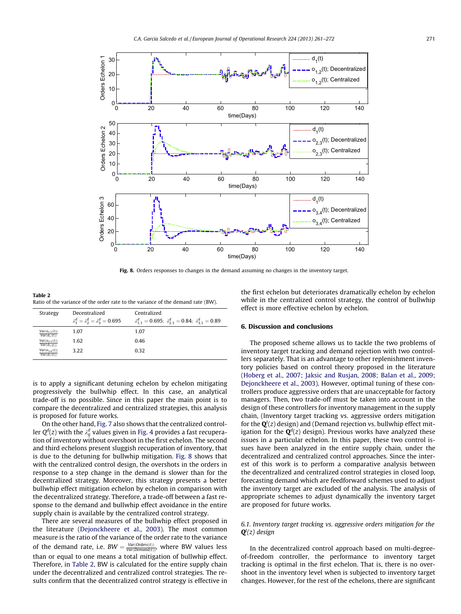<span id="page-10-0"></span>

Fig. 8. Orders responses to changes in the demand assuming no changes in the inventory target.

Table 2 Ratio of the variance of the order rate to the variance of the demand rate (BW).

| Strategy                           | Decentralized<br>$\lambda_1^d = \lambda_2^d = \lambda_3^d = 0.695$ | Centralized<br>$\lambda_{11}^d = 0.695; \lambda_{21}^d = 0.84; \lambda_{31}^d = 0.89$ |
|------------------------------------|--------------------------------------------------------------------|---------------------------------------------------------------------------------------|
| $Var(o_{1,2}(t))$<br>$Var(d_1(t))$ | 1.07                                                               | 1.07                                                                                  |
| $Var(o_{2,3}(t))$<br>$Var(d_1(t))$ | 1.62                                                               | 0.46                                                                                  |
| $Var(o_{3.4}(t))$<br>$Var(d_1(t))$ | 3.22                                                               | 0.32                                                                                  |

is to apply a significant detuning echelon by echelon mitigating progressively the bullwhip effect. In this case, an analytical trade-off is no possible. Since in this paper the main point is to compare the decentralized and centralized strategies, this analysis is proposed for future works.

On the other hand, [Fig. 7](#page-9-0) also shows that the centralized controller  $\mathcal{Q}^d(z)$  with the  $\lambda_{ij}^d$  values given in [Fig. 4](#page-7-0) provides a fast recuperation of inventory without overshoot in the first echelon. The second and third echelons present sluggish recuperation of inventory, that is due to the detuning for bullwhip mitigation. Fig. 8 shows that with the centralized control design, the overshots in the orders in response to a step change in the demand is slower than for the decentralized strategy. Moreover, this strategy presents a better bullwhip effect mitigation echelon by echelon in comparison with the decentralized strategy. Therefore, a trade-off between a fast response to the demand and bullwhip effect avoidance in the entire supply chain is available by the centralized control strategy.

There are several measures of the bullwhip effect proposed in the literature ([Dejonckheere et al., 2003](#page-11-0)). The most common measure is the ratio of the variance of the order rate to the variance of the demand rate, i.e.  $BW = \frac{Var(Orders(t))}{Var(Demand(t))}$ , where BW values less than or equal to one means a total mitigation of bullwhip effect. Therefore, in Table 2, BW is calculated for the entire supply chain under the decentralized and centralized control strategies. The results confirm that the decentralized control strategy is effective in the first echelon but deteriorates dramatically echelon by echelon while in the centralized control strategy, the control of bullwhip effect is more effective echelon by echelon.

#### 6. Discussion and conclusions

The proposed scheme allows us to tackle the two problems of inventory target tracking and demand rejection with two controllers separately. That is an advantage to other replenishment inventory policies based on control theory proposed in the literature ([Hoberg et al., 2007; Jaksic and Rusjan, 2008; Balan et al., 2009;](#page-11-0) [Dejonckheere et al., 2003\)](#page-11-0). However, optimal tuning of these controllers produce aggressive orders that are unacceptable for factory managers. Then, two trade-off must be taken into account in the design of these controllers for inventory management in the supply chain, (Inventory target tracking vs. aggressive orders mitigation for the  $\mathbf{Q}^t(z)$  design) and (Demand rejection vs. bullwhip effect mitigation for the  $\mathbf{Q}^d(z)$  design). Previous works have analyzed these issues in a particular echelon. In this paper, these two control issues have been analyzed in the entire supply chain, under the decentralized and centralized control approaches. Since the interest of this work is to perform a comparative analysis between the decentralized and centralized control strategies in closed loop, forecasting demand which are feedforward schemes used to adjust the inventory target are excluded of the analysis. The analysis of appropriate schemes to adjust dynamically the inventory target are proposed for future works.

## 6.1. Inventory target tracking vs. aggressive orders mitigation for the  $\mathbf{Q}^{t}(z)$  design

In the decentralized control approach based on multi-degreeof-freedom controller, the performance to inventory target tracking is optimal in the first echelon. That is, there is no overshoot in the inventory level when is subjected to inventory target changes. However, for the rest of the echelons, there are significant